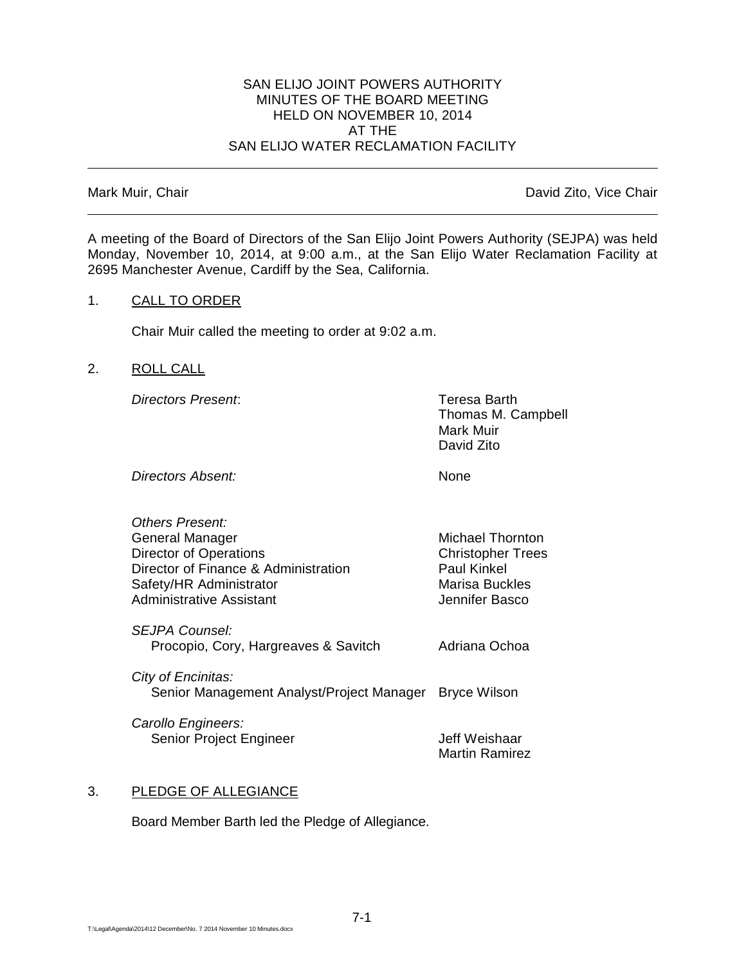#### SAN ELIJO JOINT POWERS AUTHORITY MINUTES OF THE BOARD MEETING HELD ON NOVEMBER 10, 2014 AT THE SAN ELIJO WATER RECLAMATION FACILITY

Mark Muir, Chair **David Zito, Vice Chair** David Zito, Vice Chair

A meeting of the Board of Directors of the San Elijo Joint Powers Authority (SEJPA) was held Monday, November 10, 2014, at 9:00 a.m., at the San Elijo Water Reclamation Facility at 2695 Manchester Avenue, Cardiff by the Sea, California.

## 1. CALL TO ORDER

Chair Muir called the meeting to order at 9:02 a.m.

## 2. ROLL CALL

*Directors Present*: Teresa Barth

Thomas M. Campbell Mark Muir David Zito

Michael Thornton **Christopher Trees** 

Paul Kinkel **Marisa Buckles Jennifer Basco** 

**Directors Absent:** None

| <b>Others Present:</b>               |
|--------------------------------------|
| General Manager                      |
| <b>Director of Operations</b>        |
| Director of Finance & Administration |
| Safety/HR Administrator              |
| <b>Administrative Assistant</b>      |
|                                      |

*SEJPA Counsel:* Procopio, Cory, Hargreaves & Savitch Adriana Ochoa

*City of Encinitas:* Senior Management Analyst/Project Manager Bryce Wilson

*Carollo Engineers:* Senior Project Engineer **Jeff Weishaar** 

Martin Ramirez

# 3. PLEDGE OF ALLEGIANCE

Board Member Barth led the Pledge of Allegiance.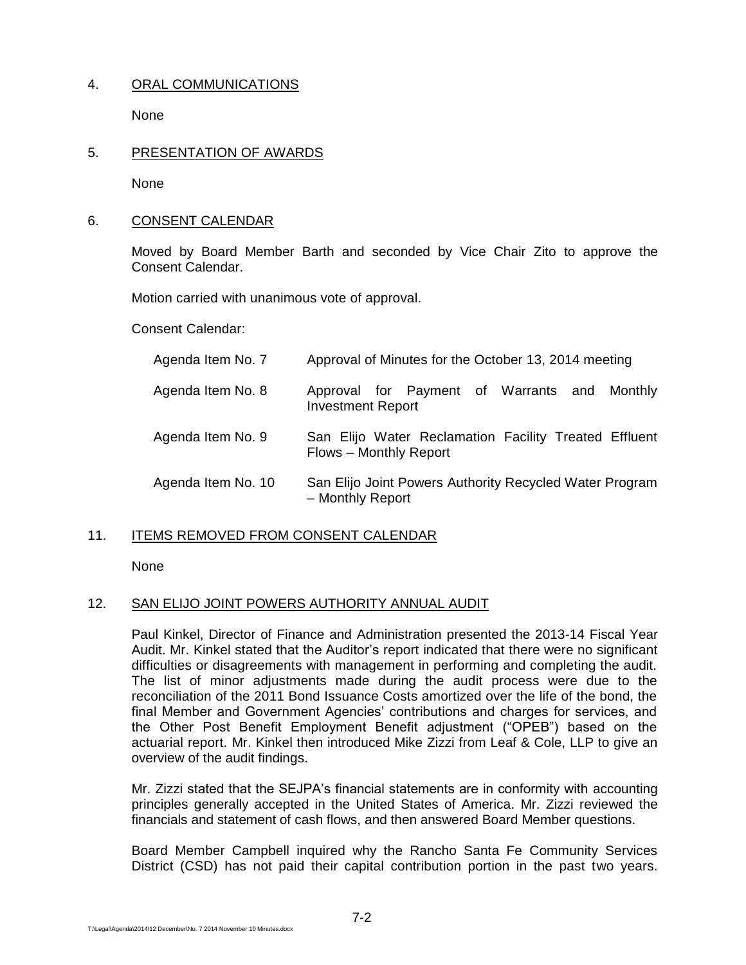# 4. ORAL COMMUNICATIONS

None

## 5. PRESENTATION OF AWARDS

None

## 6. CONSENT CALENDAR

Moved by Board Member Barth and seconded by Vice Chair Zito to approve the Consent Calendar.

Motion carried with unanimous vote of approval.

Consent Calendar:

| Agenda Item No. 7  | Approval of Minutes for the October 13, 2014 meeting                            |
|--------------------|---------------------------------------------------------------------------------|
| Agenda Item No. 8  | Approval for Payment of Warrants and Monthly<br><b>Investment Report</b>        |
| Agenda Item No. 9  | San Elijo Water Reclamation Facility Treated Effluent<br>Flows - Monthly Report |
| Agenda Item No. 10 | San Elijo Joint Powers Authority Recycled Water Program<br>- Monthly Report     |

## 11. ITEMS REMOVED FROM CONSENT CALENDAR

None

#### 12. SAN ELIJO JOINT POWERS AUTHORITY ANNUAL AUDIT

Paul Kinkel, Director of Finance and Administration presented the 2013-14 Fiscal Year Audit. Mr. Kinkel stated that the Auditor's report indicated that there were no significant difficulties or disagreements with management in performing and completing the audit. The list of minor adjustments made during the audit process were due to the reconciliation of the 2011 Bond Issuance Costs amortized over the life of the bond, the final Member and Government Agencies' contributions and charges for services, and the Other Post Benefit Employment Benefit adjustment ("OPEB") based on the actuarial report. Mr. Kinkel then introduced Mike Zizzi from Leaf & Cole, LLP to give an overview of the audit findings.

Mr. Zizzi stated that the SEJPA's financial statements are in conformity with accounting principles generally accepted in the United States of America. Mr. Zizzi reviewed the financials and statement of cash flows, and then answered Board Member questions.

Board Member Campbell inquired why the Rancho Santa Fe Community Services District (CSD) has not paid their capital contribution portion in the past two years.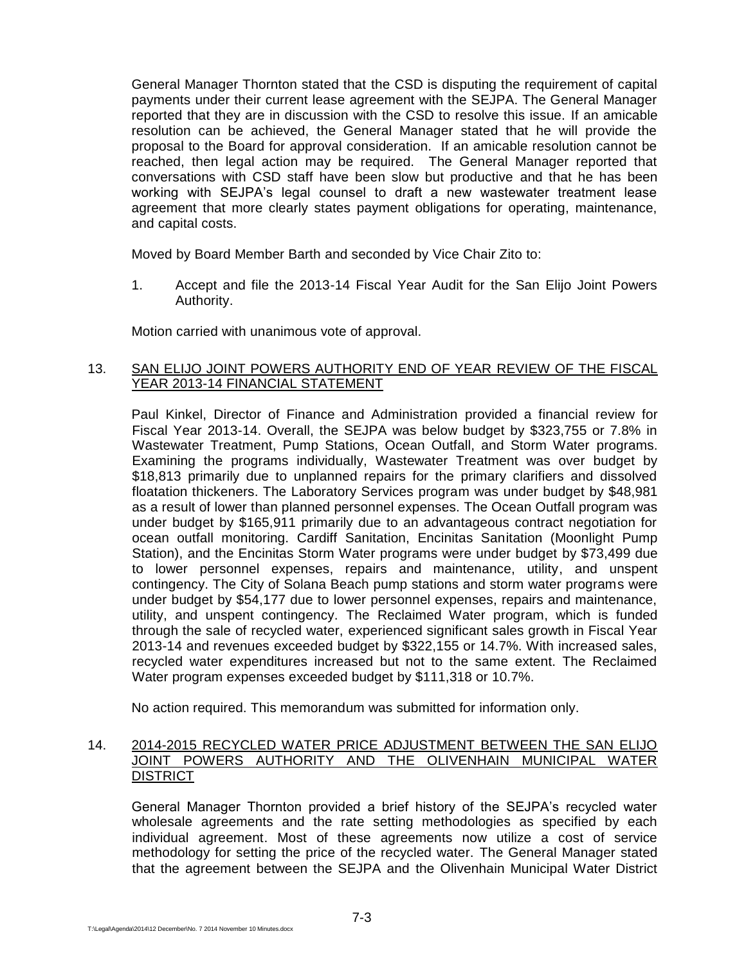General Manager Thornton stated that the CSD is disputing the requirement of capital payments under their current lease agreement with the SEJPA. The General Manager reported that they are in discussion with the CSD to resolve this issue. If an amicable resolution can be achieved, the General Manager stated that he will provide the proposal to the Board for approval consideration. If an amicable resolution cannot be reached, then legal action may be required. The General Manager reported that conversations with CSD staff have been slow but productive and that he has been working with SEJPA's legal counsel to draft a new wastewater treatment lease agreement that more clearly states payment obligations for operating, maintenance, and capital costs.

Moved by Board Member Barth and seconded by Vice Chair Zito to:

1. Accept and file the 2013-14 Fiscal Year Audit for the San Elijo Joint Powers Authority.

Motion carried with unanimous vote of approval.

## 13. SAN ELIJO JOINT POWERS AUTHORITY END OF YEAR REVIEW OF THE FISCAL YEAR 2013-14 FINANCIAL STATEMENT

Paul Kinkel, Director of Finance and Administration provided a financial review for Fiscal Year 2013-14. Overall, the SEJPA was below budget by \$323,755 or 7.8% in Wastewater Treatment, Pump Stations, Ocean Outfall, and Storm Water programs. Examining the programs individually, Wastewater Treatment was over budget by \$18,813 primarily due to unplanned repairs for the primary clarifiers and dissolved floatation thickeners. The Laboratory Services program was under budget by \$48,981 as a result of lower than planned personnel expenses. The Ocean Outfall program was under budget by \$165,911 primarily due to an advantageous contract negotiation for ocean outfall monitoring. Cardiff Sanitation, Encinitas Sanitation (Moonlight Pump Station), and the Encinitas Storm Water programs were under budget by \$73,499 due to lower personnel expenses, repairs and maintenance, utility, and unspent contingency. The City of Solana Beach pump stations and storm water programs were under budget by \$54,177 due to lower personnel expenses, repairs and maintenance, utility, and unspent contingency. The Reclaimed Water program, which is funded through the sale of recycled water, experienced significant sales growth in Fiscal Year 2013-14 and revenues exceeded budget by \$322,155 or 14.7%. With increased sales, recycled water expenditures increased but not to the same extent. The Reclaimed Water program expenses exceeded budget by \$111,318 or 10.7%.

No action required. This memorandum was submitted for information only.

## 14. 2014-2015 RECYCLED WATER PRICE ADJUSTMENT BETWEEN THE SAN ELIJO JOINT POWERS AUTHORITY AND THE OLIVENHAIN MUNICIPAL WATER **DISTRICT**

General Manager Thornton provided a brief history of the SEJPA's recycled water wholesale agreements and the rate setting methodologies as specified by each individual agreement. Most of these agreements now utilize a cost of service methodology for setting the price of the recycled water. The General Manager stated that the agreement between the SEJPA and the Olivenhain Municipal Water District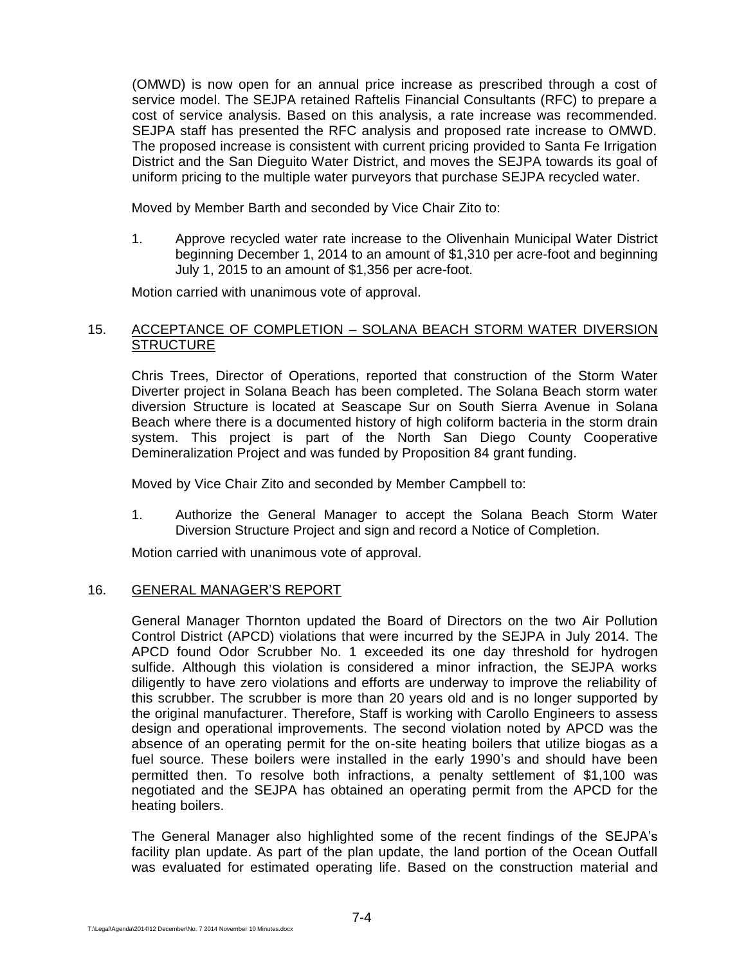(OMWD) is now open for an annual price increase as prescribed through a cost of service model. The SEJPA retained Raftelis Financial Consultants (RFC) to prepare a cost of service analysis. Based on this analysis, a rate increase was recommended. SEJPA staff has presented the RFC analysis and proposed rate increase to OMWD. The proposed increase is consistent with current pricing provided to Santa Fe Irrigation District and the San Dieguito Water District, and moves the SEJPA towards its goal of uniform pricing to the multiple water purveyors that purchase SEJPA recycled water.

Moved by Member Barth and seconded by Vice Chair Zito to:

1. Approve recycled water rate increase to the Olivenhain Municipal Water District beginning December 1, 2014 to an amount of \$1,310 per acre-foot and beginning July 1, 2015 to an amount of \$1,356 per acre-foot.

Motion carried with unanimous vote of approval.

## 15. ACCEPTANCE OF COMPLETION – SOLANA BEACH STORM WATER DIVERSION **STRUCTURE**

Chris Trees, Director of Operations, reported that construction of the Storm Water Diverter project in Solana Beach has been completed. The Solana Beach storm water diversion Structure is located at Seascape Sur on South Sierra Avenue in Solana Beach where there is a documented history of high coliform bacteria in the storm drain system. This project is part of the North San Diego County Cooperative Demineralization Project and was funded by Proposition 84 grant funding.

Moved by Vice Chair Zito and seconded by Member Campbell to:

1. Authorize the General Manager to accept the Solana Beach Storm Water Diversion Structure Project and sign and record a Notice of Completion.

Motion carried with unanimous vote of approval.

## 16. GENERAL MANAGER'S REPORT

General Manager Thornton updated the Board of Directors on the two Air Pollution Control District (APCD) violations that were incurred by the SEJPA in July 2014. The APCD found Odor Scrubber No. 1 exceeded its one day threshold for hydrogen sulfide. Although this violation is considered a minor infraction, the SEJPA works diligently to have zero violations and efforts are underway to improve the reliability of this scrubber. The scrubber is more than 20 years old and is no longer supported by the original manufacturer. Therefore, Staff is working with Carollo Engineers to assess design and operational improvements. The second violation noted by APCD was the absence of an operating permit for the on-site heating boilers that utilize biogas as a fuel source. These boilers were installed in the early 1990's and should have been permitted then. To resolve both infractions, a penalty settlement of \$1,100 was negotiated and the SEJPA has obtained an operating permit from the APCD for the heating boilers.

The General Manager also highlighted some of the recent findings of the SEJPA's facility plan update. As part of the plan update, the land portion of the Ocean Outfall was evaluated for estimated operating life. Based on the construction material and